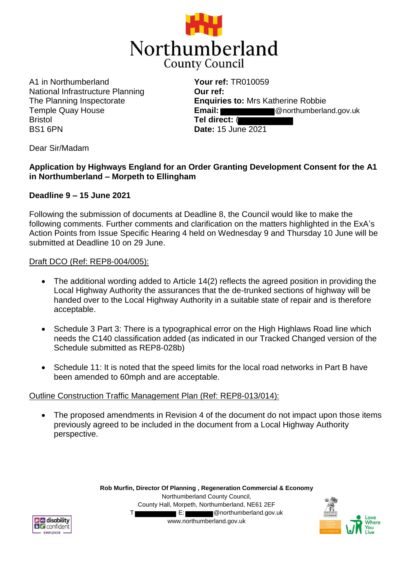

A1 in Northumberland National Infrastructure Planning The Planning Inspectorate Temple Quay House Bristol BS1 6PN

**Your ref:** TR010059 **Our ref: Enquiries to:** Mrs Katherine Robbie **Email:** @northumberland.gov.uk **Tel direct:** ( **Date:** 15 June 2021

Dear Sir/Madam

# **Application by Highways England for an Order Granting Development Consent for the A1 in Northumberland – Morpeth to Ellingham**

### **Deadline 9 – 15 June 2021**

Following the submission of documents at Deadline 8, the Council would like to make the following comments. Further comments and clarification on the matters highlighted in the ExA's Action Points from Issue Specific Hearing 4 held on Wednesday 9 and Thursday 10 June will be submitted at Deadline 10 on 29 June.

#### Draft DCO (Ref: REP8-004/005):

- The additional wording added to Article 14(2) reflects the agreed position in providing the Local Highway Authority the assurances that the de-trunked sections of highway will be handed over to the Local Highway Authority in a suitable state of repair and is therefore acceptable.
- Schedule 3 Part 3: There is a typographical error on the High Highlaws Road line which needs the C140 classification added (as indicated in our Tracked Changed version of the Schedule submitted as REP8-028b)
- Schedule 11: It is noted that the speed limits for the local road networks in Part B have been amended to 60mph and are acceptable.

### Outline Construction Traffic Management Plan (Ref: REP8-013/014):

• The proposed amendments in Revision 4 of the document do not impact upon those items previously agreed to be included in the document from a Local Highway Authority perspective.